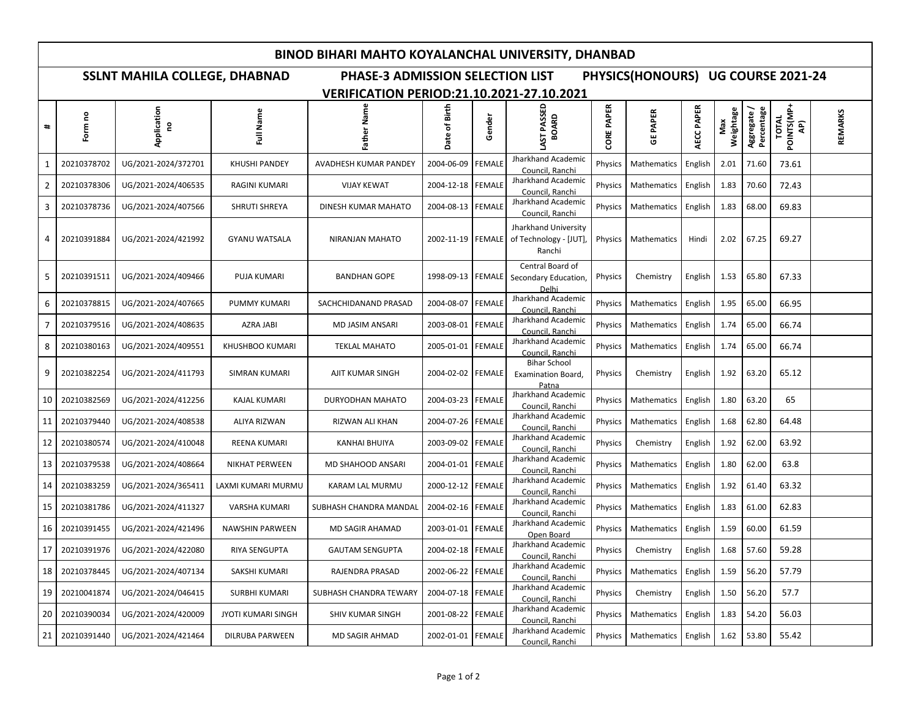### **BINOD BIHARI MAHTO KOYALANCHAL UNIVERSITY, DHANBAD**

# **SSLNT MAHILA COLLEGE, DHABNAD PHASE-3 ADMISSION SELECTION LIST PHYSICS(HONOURS) UG COURSE 2021-24**

## **VERIFICATION PERIOD:21.10.2021-27.10.2021**

| $\ddot{}$      | Form no     | Application<br>e    | Full Name              | Father Name            | Birth<br>$\overline{\overline{6}}$<br>Date | Gender        | PASSED<br>BOARD<br>LAST                                  | <b>PAPER</b><br>CORE | <b>PAPER</b><br>ច | AECC PAPER | Weightage | Percentage<br>Aggregate | <b>POINTS(MP+</b><br><b>TOTAL</b><br>ą, | REMARKS |
|----------------|-------------|---------------------|------------------------|------------------------|--------------------------------------------|---------------|----------------------------------------------------------|----------------------|-------------------|------------|-----------|-------------------------|-----------------------------------------|---------|
| 1              | 20210378702 | UG/2021-2024/372701 | <b>KHUSHI PANDEY</b>   | AVADHESH KUMAR PANDEY  | 2004-06-09                                 | <b>FEMALE</b> | Jharkhand Academic<br>Council, Ranchi                    | Physics              | Mathematics       | English    | 2.01      | 71.60                   | 73.61                                   |         |
| 2              | 20210378306 | UG/2021-2024/406535 | RAGINI KUMARI          | <b>VIJAY KEWAT</b>     | 2004-12-18                                 | <b>FEMALE</b> | Jharkhand Academic<br>Council, Ranchi                    | Physics              | Mathematics       | English    | 1.83      | 70.60                   | 72.43                                   |         |
| 3              | 20210378736 | UG/2021-2024/407566 | SHRUTI SHREYA          | DINESH KUMAR MAHATO    | 2004-08-13                                 | <b>FEMALE</b> | Jharkhand Academic<br>Council, Ranchi                    | Physics              | Mathematics       | English    | 1.83      | 68.00                   | 69.83                                   |         |
| 4              | 20210391884 | UG/2021-2024/421992 | <b>GYANU WATSALA</b>   | <b>NIRANJAN MAHATO</b> | 2002-11-19                                 | FEMALE        | Jharkhand University<br>of Technology - [JUT],<br>Ranchi | <b>Physics</b>       | Mathematics       | Hindi      | 2.02      | 67.25                   | 69.27                                   |         |
| 5              | 20210391511 | UG/2021-2024/409466 | PUJA KUMARI            | <b>BANDHAN GOPE</b>    | 1998-09-13 FEMALE                          |               | Central Board of<br>Secondary Education<br>Delhi         | Physics              | Chemistry         | English    | 1.53      | 65.80                   | 67.33                                   |         |
| 6              | 20210378815 | UG/2021-2024/407665 | PUMMY KUMARI           | SACHCHIDANAND PRASAD   | 2004-08-07                                 | <b>FEMALE</b> | Jharkhand Academic<br>Council, Ranchi                    | Physics              | Mathematics       | English    | 1.95      | 65.00                   | 66.95                                   |         |
| $\overline{7}$ | 20210379516 | UG/2021-2024/408635 | AZRA JABI              | MD JASIM ANSARI        | 2003-08-01                                 | <b>FEMALE</b> | Jharkhand Academic<br>Council, Ranchi                    | Physics              | Mathematics       | English    | 1.74      | 65.00                   | 66.74                                   |         |
| 8              | 20210380163 | UG/2021-2024/409551 | KHUSHBOO KUMARI        | <b>TEKLAL MAHATO</b>   | 2005-01-01                                 | <b>FEMALE</b> | Jharkhand Academic<br>Council, Ranchi                    | Physics              | Mathematics       | English    | 1.74      | 65.00                   | 66.74                                   |         |
| 9              | 20210382254 | UG/2021-2024/411793 | SIMRAN KUMARI          | AJIT KUMAR SINGH       | 2004-02-02                                 | <b>FEMALE</b> | <b>Bihar School</b><br>Examination Board,<br>Patna       | Physics              | Chemistry         | English    | 1.92      | 63.20                   | 65.12                                   |         |
| 10             | 20210382569 | UG/2021-2024/412256 | <b>KAJAL KUMARI</b>    | DURYODHAN MAHATO       | 2004-03-23                                 | <b>FEMALE</b> | Jharkhand Academic<br>Council, Ranchi                    | Physics              | Mathematics       | English    | 1.80      | 63.20                   | 65                                      |         |
| 11             | 20210379440 | UG/2021-2024/408538 | <b>ALIYA RIZWAN</b>    | RIZWAN ALI KHAN        | 2004-07-26                                 | <b>FEMALE</b> | Jharkhand Academic<br>Council, Ranchi                    | Physics              | Mathematics       | English    | 1.68      | 62.80                   | 64.48                                   |         |
| 12             | 20210380574 | UG/2021-2024/410048 | REENA KUMARI           | <b>KANHAI BHUIYA</b>   | 2003-09-02                                 | <b>FEMALE</b> | Jharkhand Academic<br>Council, Ranchi                    | Physics              | Chemistry         | English    | 1.92      | 62.00                   | 63.92                                   |         |
| 13             | 20210379538 | UG/2021-2024/408664 | <b>NIKHAT PERWEEN</b>  | MD SHAHOOD ANSARI      | 2004-01-01                                 | <b>FEMALE</b> | Jharkhand Academic<br>Council, Ranchi                    | <b>Physics</b>       | Mathematics       | English    | 1.80      | 62.00                   | 63.8                                    |         |
| 14             | 20210383259 | UG/2021-2024/365411 | LAXMI KUMARI MURMU     | KARAM LAL MURMU        | 2000-12-12                                 | <b>FEMALE</b> | Jharkhand Academic<br>Council, Ranchi                    | Physics              | Mathematics       | English    | 1.92      | 61.40                   | 63.32                                   |         |
| 15             | 20210381786 | UG/2021-2024/411327 | VARSHA KUMARI          | SUBHASH CHANDRA MANDAI | 2004-02-16                                 | <b>FEMALE</b> | Jharkhand Academic<br>Council, Ranchi                    | Physics              | Mathematics       | English    | 1.83      | 61.00                   | 62.83                                   |         |
| 16             | 20210391455 | UG/2021-2024/421496 | <b>NAWSHIN PARWEEN</b> | <b>MD SAGIR AHAMAD</b> | 2003-01-01                                 | <b>FEMALE</b> | Jharkhand Academic<br>Open Board                         | Physics              | Mathematics       | English    | 1.59      | 60.00                   | 61.59                                   |         |
| 17             | 20210391976 | UG/2021-2024/422080 | RIYA SENGUPTA          | <b>GAUTAM SENGUPTA</b> | 2004-02-18                                 | <b>FEMALE</b> | Jharkhand Academic<br>Council, Ranchi                    | Physics              | Chemistry         | English    | 1.68      | 57.60                   | 59.28                                   |         |
| 18             | 20210378445 | UG/2021-2024/407134 | SAKSHI KUMARI          | RAJENDRA PRASAD        | 2002-06-22                                 | <b>FEMALE</b> | Jharkhand Academic<br>Council, Ranchi                    | Physics              | Mathematics       | English    | 1.59      | 56.20                   | 57.79                                   |         |
| 19             | 20210041874 | UG/2021-2024/046415 | <b>SURBHI KUMARI</b>   | SUBHASH CHANDRA TEWARY | 2004-07-18                                 | <b>FEMALE</b> | Jharkhand Academic<br>Council, Ranchi                    | Physics              | Chemistry         | English    | 1.50      | 56.20                   | 57.7                                    |         |
| 20             | 20210390034 | UG/2021-2024/420009 | JYOTI KUMARI SINGH     | SHIV KUMAR SINGH       | 2001-08-22                                 | <b>FEMALE</b> | Jharkhand Academic<br>Council, Ranchi                    | Physics              | Mathematics       | English    | 1.83      | 54.20                   | 56.03                                   |         |
| 21             | 20210391440 | UG/2021-2024/421464 | DILRUBA PARWEEN        | MD SAGIR AHMAD         | 2002-01-01   FEMALE                        |               | Jharkhand Academic<br>Council, Ranchi                    | <b>Physics</b>       | Mathematics       | English    | 1.62      | 53.80                   | 55.42                                   |         |